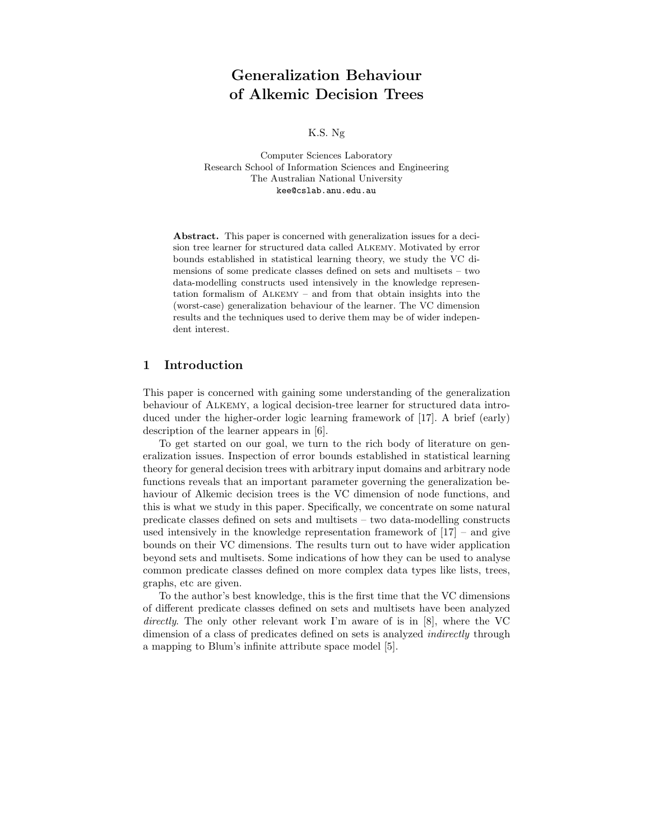# Generalization Behaviour of Alkemic Decision Trees

K.S. Ng

Computer Sciences Laboratory Research School of Information Sciences and Engineering The Australian National University kee@cslab.anu.edu.au

Abstract. This paper is concerned with generalization issues for a decision tree learner for structured data called Alkemy. Motivated by error bounds established in statistical learning theory, we study the VC dimensions of some predicate classes defined on sets and multisets – two data-modelling constructs used intensively in the knowledge representation formalism of Alkemy – and from that obtain insights into the (worst-case) generalization behaviour of the learner. The VC dimension results and the techniques used to derive them may be of wider independent interest.

## 1 Introduction

This paper is concerned with gaining some understanding of the generalization behaviour of Alkemy, a logical decision-tree learner for structured data introduced under the higher-order logic learning framework of [17]. A brief (early) description of the learner appears in [6].

To get started on our goal, we turn to the rich body of literature on generalization issues. Inspection of error bounds established in statistical learning theory for general decision trees with arbitrary input domains and arbitrary node functions reveals that an important parameter governing the generalization behaviour of Alkemic decision trees is the VC dimension of node functions, and this is what we study in this paper. Specifically, we concentrate on some natural predicate classes defined on sets and multisets – two data-modelling constructs used intensively in the knowledge representation framework of [17] – and give bounds on their VC dimensions. The results turn out to have wider application beyond sets and multisets. Some indications of how they can be used to analyse common predicate classes defined on more complex data types like lists, trees, graphs, etc are given.

To the author's best knowledge, this is the first time that the VC dimensions of different predicate classes defined on sets and multisets have been analyzed directly. The only other relevant work I'm aware of is in [8], where the VC dimension of a class of predicates defined on sets is analyzed *indirectly* through a mapping to Blum's infinite attribute space model [5].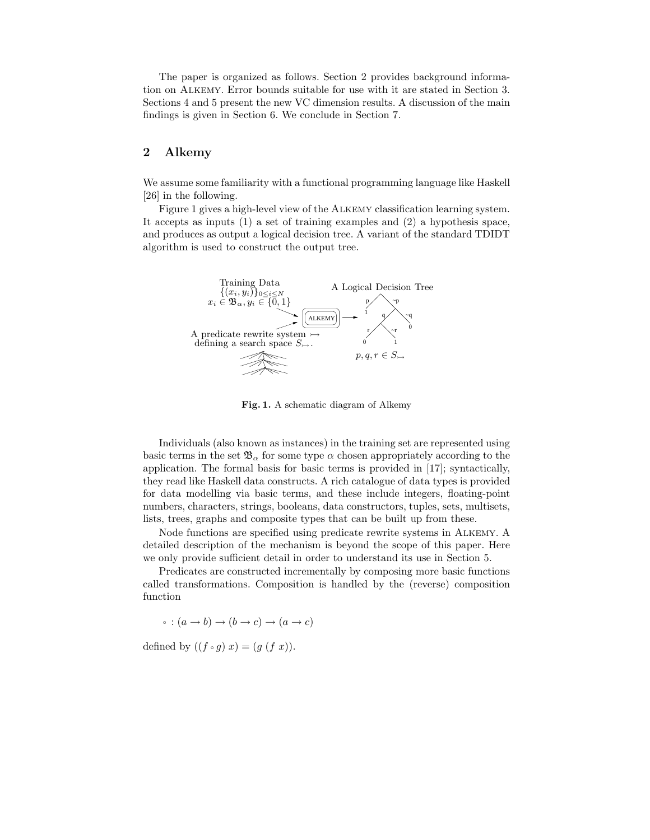The paper is organized as follows. Section 2 provides background information on Alkemy. Error bounds suitable for use with it are stated in Section 3. Sections 4 and 5 present the new VC dimension results. A discussion of the main findings is given in Section 6. We conclude in Section 7.

# 2 Alkemy

We assume some familiarity with a functional programming language like Haskell [26] in the following.

Figure 1 gives a high-level view of the Alkemy classification learning system. It accepts as inputs (1) a set of training examples and (2) a hypothesis space, and produces as output a logical decision tree. A variant of the standard TDIDT algorithm is used to construct the output tree.



Fig. 1. A schematic diagram of Alkemy

Individuals (also known as instances) in the training set are represented using basic terms in the set  $\mathfrak{B}_{\alpha}$  for some type  $\alpha$  chosen appropriately according to the application. The formal basis for basic terms is provided in [17]; syntactically, they read like Haskell data constructs. A rich catalogue of data types is provided for data modelling via basic terms, and these include integers, floating-point numbers, characters, strings, booleans, data constructors, tuples, sets, multisets, lists, trees, graphs and composite types that can be built up from these.

Node functions are specified using predicate rewrite systems in Alkemy. A detailed description of the mechanism is beyond the scope of this paper. Here we only provide sufficient detail in order to understand its use in Section 5.

Predicates are constructed incrementally by composing more basic functions called transformations. Composition is handled by the (reverse) composition function

 $\phi : (a \rightarrow b) \rightarrow (b \rightarrow c) \rightarrow (a \rightarrow c)$ 

defined by  $((f \circ g) x) = (g (f x))$ .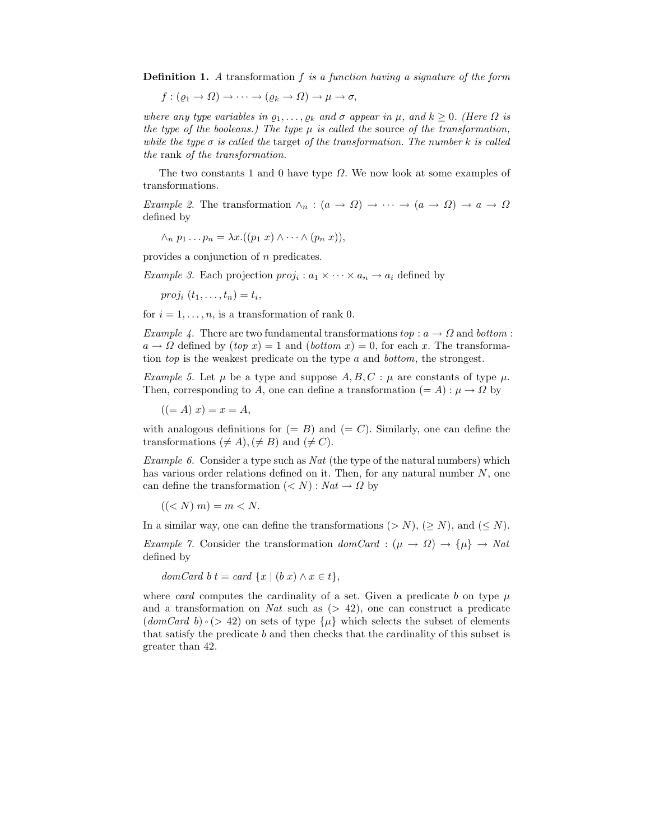**Definition 1.** A transformation f is a function having a signature of the form

$$
f:(\varrho_1\to\varOmega)\to\cdots\to(\varrho_k\to\varOmega)\to\mu\to\sigma,
$$

where any type variables in  $\varrho_1, \ldots, \varrho_k$  and  $\sigma$  appear in  $\mu$ , and  $k \geq 0$ . (Here  $\Omega$  is the type of the booleans.) The type  $\mu$  is called the source of the transformation, while the type  $\sigma$  is called the target of the transformation. The number k is called the rank of the transformation.

The two constants 1 and 0 have type  $\Omega$ . We now look at some examples of transformations.

Example 2. The transformation  $\wedge_n$ :  $(a \to \Omega) \to \cdots \to (a \to \Omega) \to a \to \Omega$ defined by

$$
\wedge_n p_1 \dots p_n = \lambda x. ((p_1 x) \wedge \dots \wedge (p_n x)),
$$

provides a conjunction of n predicates.

*Example 3.* Each projection  $proj_i : a_1 \times \cdots \times a_n \rightarrow a_i$  defined by

 $proj_i(t_1,\ldots,t_n)=t_i,$ 

for  $i = 1, \ldots, n$ , is a transformation of rank 0.

Example 4. There are two fundamental transformations  $top : a \rightarrow \Omega$  and bottom :  $a \rightarrow \Omega$  defined by  $(top x) = 1$  and  $(bottom x) = 0$ , for each x. The transformation top is the weakest predicate on the type a and bottom, the strongest.

Example 5. Let  $\mu$  be a type and suppose  $A, B, C : \mu$  are constants of type  $\mu$ . Then, corresponding to A, one can define a transformation  $(= A) : \mu \to \Omega$  by

 $((= A) x) = x = A,$ 

with analogous definitions for  $(= B)$  and  $(= C)$ . Similarly, one can define the transformations  $(\neq A), (\neq B)$  and  $(\neq C)$ .

Example 6. Consider a type such as  $Nat$  (the type of the natural numbers) which has various order relations defined on it. Then, for any natural number  $N$ , one can define the transformation  $(< N) : Nat \rightarrow \Omega$  by

 $((< N) m) = m < N.$ 

In a similar way, one can define the transformations  $(> N), ( \ge N)$ , and  $( \le N)$ . Example 7. Consider the transformation  $domCard$  :  $(\mu \to \Omega) \to {\mu}$   $\to Nat$ defined by

domCard b  $t = \text{card } \{x \mid (b \ x) \land x \in t\},\$ 

where card computes the cardinality of a set. Given a predicate b on type  $\mu$ and a transformation on Nat such as  $(> 42)$ , one can construct a predicate  $(domCard b) \circ (> 42)$  on sets of type  $\{\mu\}$  which selects the subset of elements that satisfy the predicate b and then checks that the cardinality of this subset is greater than 42.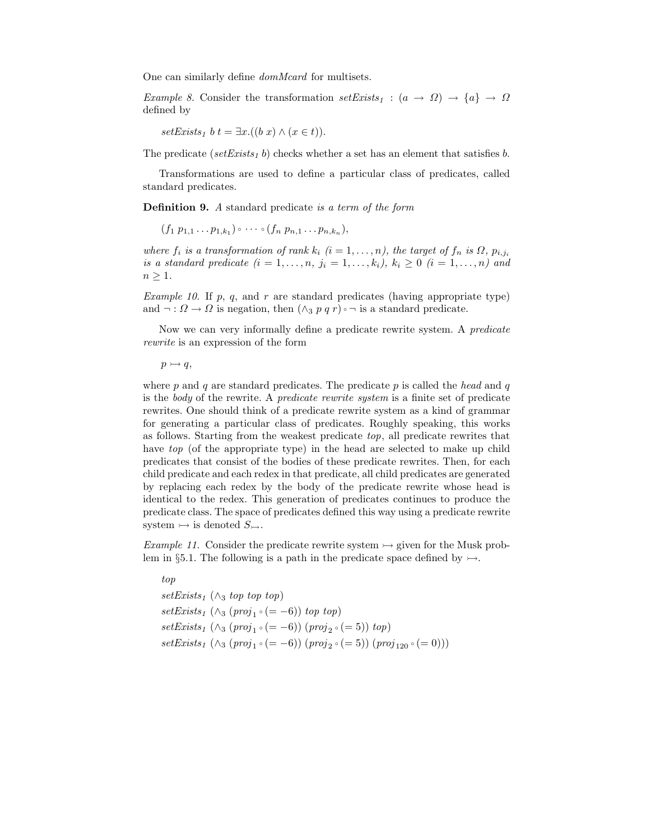One can similarly define domMcard for multisets.

Example 8. Consider the transformation  $setExists_1 : (a \rightarrow \Omega) \rightarrow \{a\} \rightarrow \Omega$ defined by

 $setExists_1 b t = \exists x. ((b x) \land (x \in t)).$ 

The predicate (setExists<sub>1</sub> b) checks whether a set has an element that satisfies b.

Transformations are used to define a particular class of predicates, called standard predicates.

Definition 9. A standard predicate is a term of the form

 $(f_1 p_{1,1} \ldots p_{1,k_1}) \circ \cdots \circ (f_n p_{n,1} \ldots p_{n,k_n}),$ 

where  $f_i$  is a transformation of rank  $k_i$   $(i = 1, \ldots, n)$ , the target of  $f_n$  is  $\Omega$ ,  $p_{i,j_i}$ is a standard predicate  $(i = 1, \ldots, n, j_i = 1, \ldots, k_i)$ ,  $k_i \geq 0$   $(i = 1, \ldots, n)$  and  $n \geq 1$ .

*Example 10.* If  $p$ ,  $q$ , and  $r$  are standard predicates (having appropriate type) and  $\neg: \Omega \to \Omega$  is negation, then  $(\wedge_3 p q r) \circ \neg$  is a standard predicate.

Now we can very informally define a predicate rewrite system. A predicate rewrite is an expression of the form

 $p \rightarrowtail q$ ,

where  $p$  and  $q$  are standard predicates. The predicate  $p$  is called the head and  $q$ is the body of the rewrite. A predicate rewrite system is a finite set of predicate rewrites. One should think of a predicate rewrite system as a kind of grammar for generating a particular class of predicates. Roughly speaking, this works as follows. Starting from the weakest predicate  $top$ , all predicate rewrites that have top (of the appropriate type) in the head are selected to make up child predicates that consist of the bodies of these predicate rewrites. Then, for each child predicate and each redex in that predicate, all child predicates are generated by replacing each redex by the body of the predicate rewrite whose head is identical to the redex. This generation of predicates continues to produce the predicate class. The space of predicates defined this way using a predicate rewrite system  $\rightarrow$  is denoted  $S_{\rightarrow}$ .

Example 11. Consider the predicate rewrite system  $\rightarrow$  given for the Musk problem in §5.1. The following is a path in the predicate space defined by  $\rightarrow$ .

top setExists<sub>1</sub> ( $\wedge_3$  top top top)  $setExists_1 (\wedge_3 (proj_1 \circ (= -6)) \text{ top top})$  $setExists<sub>1</sub> (\wedge<sub>3</sub> (proj<sub>1</sub> \circ (= -6)) (proj<sub>2</sub> \circ (= 5)) top)$ setExists<sub>1</sub> (∧<sub>3</sub> (proj<sub>1</sub> ∘ (= -6)) (proj<sub>2</sub> ∘ (= 5)) (proj<sub>120</sub> ∘ (= 0)))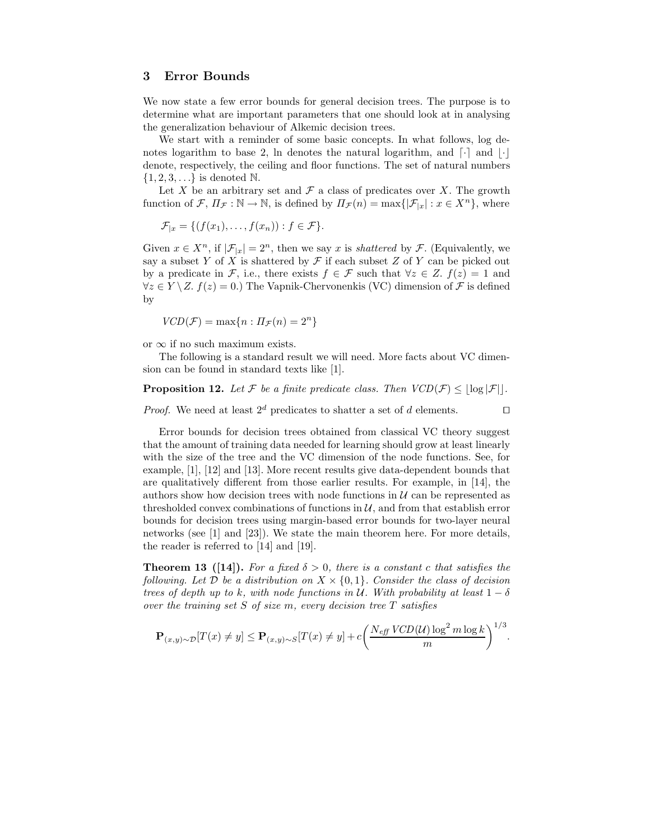# 3 Error Bounds

We now state a few error bounds for general decision trees. The purpose is to determine what are important parameters that one should look at in analysing the generalization behaviour of Alkemic decision trees.

We start with a reminder of some basic concepts. In what follows, log denotes logarithm to base 2, ln denotes the natural logarithm, and  $\lceil \cdot \rceil$  and  $\lceil \cdot \rceil$ denote, respectively, the ceiling and floor functions. The set of natural numbers  $\{1, 2, 3, \ldots\}$  is denoted N.

Let X be an arbitrary set and  $\mathcal F$  a class of predicates over X. The growth function of  $\mathcal{F}, \Pi_{\mathcal{F}} : \mathbb{N} \to \mathbb{N}$ , is defined by  $\Pi_{\mathcal{F}}(n) = \max\{|\mathcal{F}_{|x}| : x \in X^n\}$ , where

$$
\mathcal{F}_{|x} = \{ (f(x_1), \ldots, f(x_n)) : f \in \mathcal{F} \}.
$$

Given  $x \in X^n$ , if  $|\mathcal{F}_{|x}| = 2^n$ , then we say x is *shattered* by  $\mathcal{F}$ . (Equivalently, we say a subset Y of X is shattered by  $\mathcal F$  if each subset Z of Y can be picked out by a predicate in F, i.e., there exists  $f \in \mathcal{F}$  such that  $\forall z \in Z$ .  $f(z) = 1$  and  $\forall z \in Y \setminus Z$ .  $f(z) = 0$ .) The Vapnik-Chervonenkis (VC) dimension of F is defined by

$$
VCD(\mathcal{F}) = \max\{n : \Pi_{\mathcal{F}}(n) = 2^n\}
$$

or  $\infty$  if no such maximum exists.

The following is a standard result we will need. More facts about VC dimension can be found in standard texts like [1].

**Proposition 12.** Let F be a finite predicate class. Then  $VCD(\mathcal{F}) \le |\log |\mathcal{F}||$ .

*Proof.* We need at least  $2^d$  predicates to shatter a set of d elements.

Error bounds for decision trees obtained from classical VC theory suggest that the amount of training data needed for learning should grow at least linearly with the size of the tree and the VC dimension of the node functions. See, for example, [1], [12] and [13]. More recent results give data-dependent bounds that are qualitatively different from those earlier results. For example, in [14], the authors show how decision trees with node functions in  $\mathcal U$  can be represented as thresholded convex combinations of functions in  $\mathcal{U}$ , and from that establish error bounds for decision trees using margin-based error bounds for two-layer neural networks (see [1] and [23]). We state the main theorem here. For more details, the reader is referred to [14] and [19].

**Theorem 13** ([14]). For a fixed  $\delta > 0$ , there is a constant c that satisfies the following. Let D be a distribution on  $X \times \{0,1\}$ . Consider the class of decision trees of depth up to k, with node functions in U. With probability at least  $1 - \delta$ over the training set  $S$  of size  $m$ , every decision tree  $T$  satisfies

$$
\mathbf{P}_{(x,y)\sim\mathcal{D}}[T(x) \neq y] \leq \mathbf{P}_{(x,y)\sim S}[T(x) \neq y] + c \left(\frac{N_{\text{eff}}\text{ }VCD(\mathcal{U})\log^2 m \log k}{m}\right)^{1/3}.
$$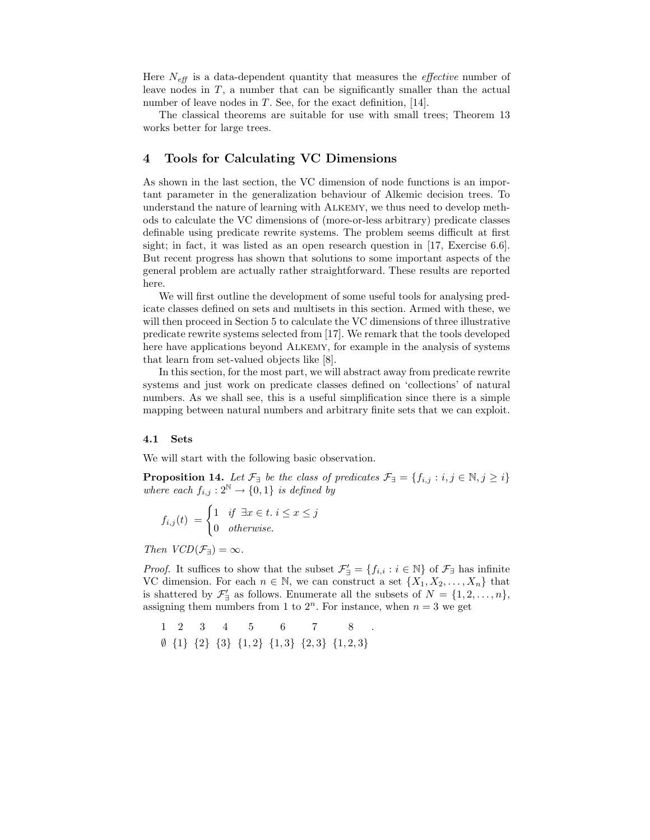Here  $N_{\text{eff}}$  is a data-dependent quantity that measures the *effective* number of leave nodes in  $T$ , a number that can be significantly smaller than the actual number of leave nodes in  $T$ . See, for the exact definition, [14].

The classical theorems are suitable for use with small trees; Theorem 13 works better for large trees.

## 4 Tools for Calculating VC Dimensions

As shown in the last section, the VC dimension of node functions is an important parameter in the generalization behaviour of Alkemic decision trees. To understand the nature of learning with Alkemy, we thus need to develop methods to calculate the VC dimensions of (more-or-less arbitrary) predicate classes definable using predicate rewrite systems. The problem seems difficult at first sight; in fact, it was listed as an open research question in [17, Exercise 6.6]. But recent progress has shown that solutions to some important aspects of the general problem are actually rather straightforward. These results are reported here.

We will first outline the development of some useful tools for analysing predicate classes defined on sets and multisets in this section. Armed with these, we will then proceed in Section 5 to calculate the VC dimensions of three illustrative predicate rewrite systems selected from [17]. We remark that the tools developed here have applications beyond Alkemy, for example in the analysis of systems that learn from set-valued objects like [8].

In this section, for the most part, we will abstract away from predicate rewrite systems and just work on predicate classes defined on 'collections' of natural numbers. As we shall see, this is a useful simplification since there is a simple mapping between natural numbers and arbitrary finite sets that we can exploit.

#### 4.1 Sets

We will start with the following basic observation.

**Proposition 14.** Let  $\mathcal{F}_{\exists}$  be the class of predicates  $\mathcal{F}_{\exists} = \{f_{i,j} : i,j \in \mathbb{N}, j \geq i\}$ where each  $f_{i,j}: 2^{\mathbb{N}} \to \{0,1\}$  is defined by

$$
f_{i,j}(t) = \begin{cases} 1 & \text{if } \exists x \in t. \ i \le x \le j \\ 0 & \text{otherwise.} \end{cases}
$$

Then  $VCD(\mathcal{F}_{\exists}) = \infty$ .

*Proof.* It suffices to show that the subset  $\mathcal{F}'_{\exists} = \{f_{i,i} : i \in \mathbb{N}\}\$  of  $\mathcal{F}_{\exists}$  has infinite VC dimension. For each  $n \in \mathbb{N}$ , we can construct a set  $\{X_1, X_2, \ldots, X_n\}$  that is shattered by  $\mathcal{F}'_{\exists}$  as follows. Enumerate all the subsets of  $N = \{1, 2, ..., n\},\$ assigning them numbers from 1 to  $2^n$ . For instance, when  $n = 3$  we get

$$
\begin{array}{ccccccccc}\n1 & 2 & 3 & 4 & 5 & 6 & 7 & 8 \\
\emptyset & \{1\} & \{2\} & \{3\} & \{1,2\} & \{1,3\} & \{2,3\} & \{1,2,3\} \\
\end{array}
$$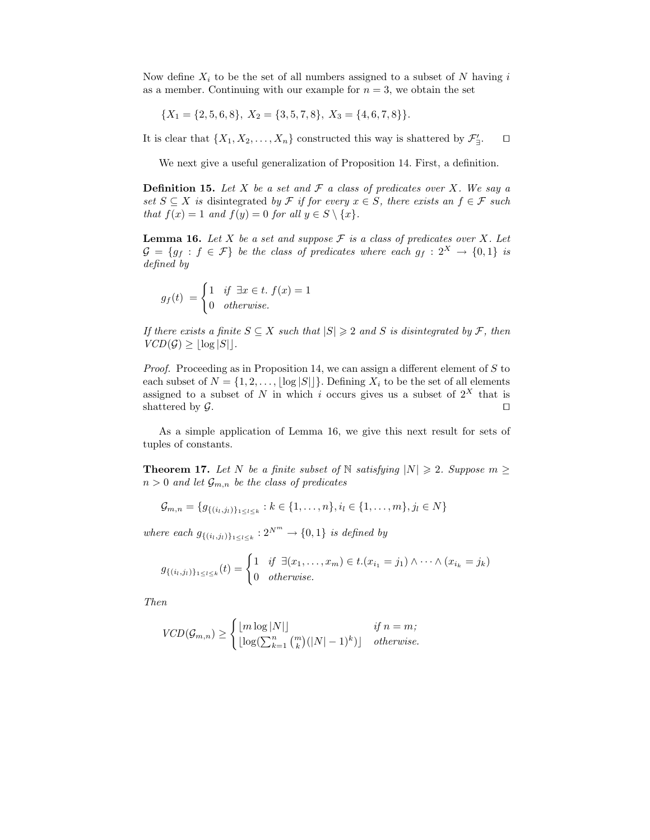Now define  $X_i$  to be the set of all numbers assigned to a subset of N having i as a member. Continuing with our example for  $n = 3$ , we obtain the set

 ${X_1 = \{2, 5, 6, 8\}, X_2 = \{3, 5, 7, 8\}, X_3 = \{4, 6, 7, 8\}.$ 

It is clear that  $\{X_1, X_2, \ldots, X_n\}$  constructed this way is shattered by  $\mathcal{F}'_{\exists}$  $\Box$ 

We next give a useful generalization of Proposition 14. First, a definition.

**Definition 15.** Let X be a set and  $\mathcal F$  a class of predicates over X. We say a set  $S \subseteq X$  is disintegrated by F if for every  $x \in S$ , there exists an  $f \in \mathcal{F}$  such that  $f(x) = 1$  and  $f(y) = 0$  for all  $y \in S \setminus \{x\}.$ 

**Lemma 16.** Let X be a set and suppose  $\mathcal F$  is a class of predicates over X. Let  $G = \{g_f : f \in \mathcal{F}\}\$ be the class of predicates where each  $g_f : 2^X \to \{0,1\}$  is defined by

$$
g_f(t) = \begin{cases} 1 & \text{if } \exists x \in t. \ f(x) = 1 \\ 0 & otherwise. \end{cases}
$$

If there exists a finite  $S \subseteq X$  such that  $|S| \geq 2$  and S is disintegrated by F, then  $VCD(\mathcal{G}) \geq |\log |S||.$ 

*Proof.* Proceeding as in Proposition 14, we can assign a different element of  $S$  to each subset of  $N = \{1, 2, ..., |\log |S||\}$ . Defining  $X_i$  to be the set of all elements assigned to a subset of N in which i occurs gives us a subset of  $2^X$  that is shattered by  $\mathcal{G}$ .

As a simple application of Lemma 16, we give this next result for sets of tuples of constants.

**Theorem 17.** Let N be a finite subset of N satisfying  $|N| \ge 2$ . Suppose  $m \ge 2$  $n > 0$  and let  $\mathcal{G}_{m,n}$  be the class of predicates

$$
\mathcal{G}_{m,n} = \{g_{\{(i_l,j_l)\}_{1 \leq l \leq k}} : k \in \{1,\ldots,n\}, i_l \in \{1,\ldots,m\}, j_l \in N\}
$$

where each  $g_{\{(i_l,j_l)\}_{1\leq l\leq k}}:2^{N^m}\rightarrow \{0,1\}$  is defined by

$$
g_{\{(i_l,j_l)\}_{1\leq l\leq k}}(t)=\begin{cases}1 & \text{if }\exists (x_1,\ldots,x_m)\in t.(x_{i_1}=j_1)\wedge\cdots\wedge(x_{i_k}=j_k)\\0 & otherwise.\end{cases}
$$

Then

$$
VCD(\mathcal{G}_{m,n}) \geq \begin{cases} \lfloor m \log |N| \rfloor & \text{if } n = m; \\ \lfloor \log(\sum_{k=1}^{n} {m \choose k} (|N|-1)^{k}) \rfloor & \text{otherwise.} \end{cases}
$$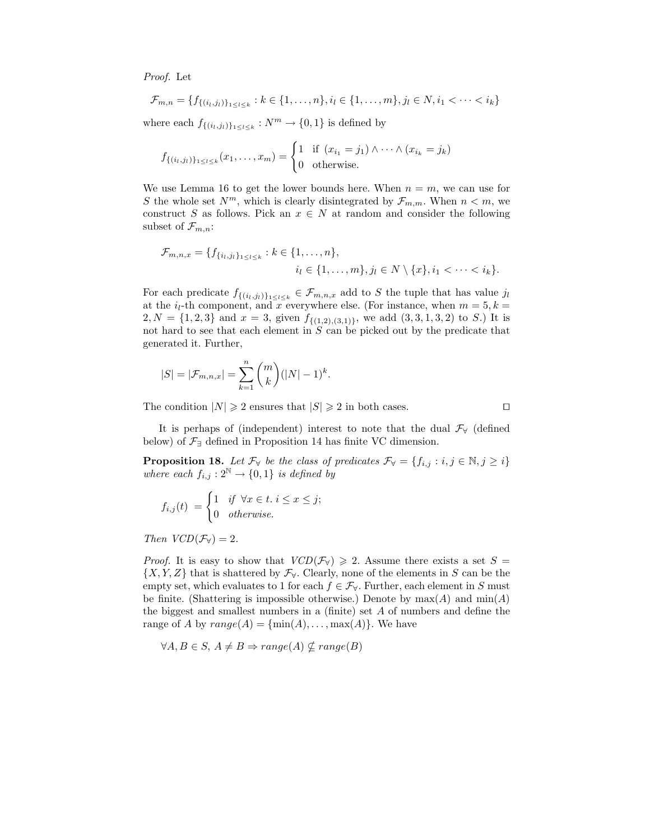Proof. Let

$$
\mathcal{F}_{m,n} = \{ f_{\{(i_l,j_l)\}_{1 \leq l \leq k}} : k \in \{1,\ldots,n\}, i_l \in \{1,\ldots,m\}, j_l \in N, i_1 < \cdots < i_k \}
$$

where each  $f_{\{(i_l,j_l)\}_{1\leq l\leq k}}: N^m \to \{0,1\}$  is defined by

$$
f_{\{(i_l,j_l)\}_{1\leq l\leq k}}(x_1,\ldots,x_m) = \begin{cases} 1 & \text{if } (x_{i_1} = j_1) \wedge \cdots \wedge (x_{i_k} = j_k) \\ 0 & \text{otherwise.} \end{cases}
$$

We use Lemma 16 to get the lower bounds here. When  $n = m$ , we can use for S the whole set  $N^m$ , which is clearly disintegrated by  $\mathcal{F}_{m,m}$ . When  $n < m$ , we construct S as follows. Pick an  $x \in N$  at random and consider the following subset of  $\mathcal{F}_{m,n}$ :

$$
\mathcal{F}_{m,n,x} = \{ f_{\{i_l,j_l\}_{1 \leq l \leq k}} : k \in \{1,\ldots,n\}, i_l \in \{1,\ldots,m\}, j_l \in N \setminus \{x\}, i_1 < \cdots < i_k\}.
$$

For each predicate  $f_{\{(i_l,j_l)\}_{1\leq l\leq k}}\in\mathcal{F}_{m,n,x}$  add to S the tuple that has value  $j_l$ at the  $i_l$ -th component, and x everywhere else. (For instance, when  $m = 5, k =$  $2, N = \{1, 2, 3\}$  and  $x = 3$ , given  $f_{\{(1,2),(3,1)\}}$ , we add  $(3,3,1,3,2)$  to S.) It is not hard to see that each element in  $S$  can be picked out by the predicate that generated it. Further,

$$
|S| = |\mathcal{F}_{m,n,x}| = \sum_{k=1}^{n} {m \choose k} (|N|-1)^k
$$

The condition  $|N| \ge 2$  ensures that  $|S| \ge 2$  in both cases.

It is perhaps of (independent) interest to note that the dual  $\mathcal{F}_{\forall}$  (defined below) of  $\mathcal{F}_\exists$  defined in Proposition 14 has finite VC dimension.

.

**Proposition 18.** Let  $\mathcal{F}_{\forall}$  be the class of predicates  $\mathcal{F}_{\forall} = \{f_{i,j} : i, j \in \mathbb{N}, j \geq i\}$ where each  $f_{i,j}: 2^{\mathbb{N}} \to \{0,1\}$  is defined by

$$
f_{i,j}(t) = \begin{cases} 1 & \text{if } \forall x \in t \text{ if } i \leq x \leq j; \\ 0 & \text{otherwise.} \end{cases}
$$

Then  $VCD(\mathcal{F}_\forall) = 2$ .

*Proof.* It is easy to show that  $VCD(\mathcal{F}_{\forall}) \geq 2$ . Assume there exists a set  $S =$  $\{X, Y, Z\}$  that is shattered by  $\mathcal{F}_{\forall}$ . Clearly, none of the elements in S can be the empty set, which evaluates to 1 for each  $f \in \mathcal{F}_{\forall}$ . Further, each element in S must be finite. (Shattering is impossible otherwise.) Denote by  $max(A)$  and  $min(A)$ the biggest and smallest numbers in a (finite) set A of numbers and define the range of A by  $range(A) = \{min(A), \ldots, max(A)\}.$  We have

$$
\forall A, B \in S, A \neq B \Rightarrow range(A) \nsubseteq range(B)
$$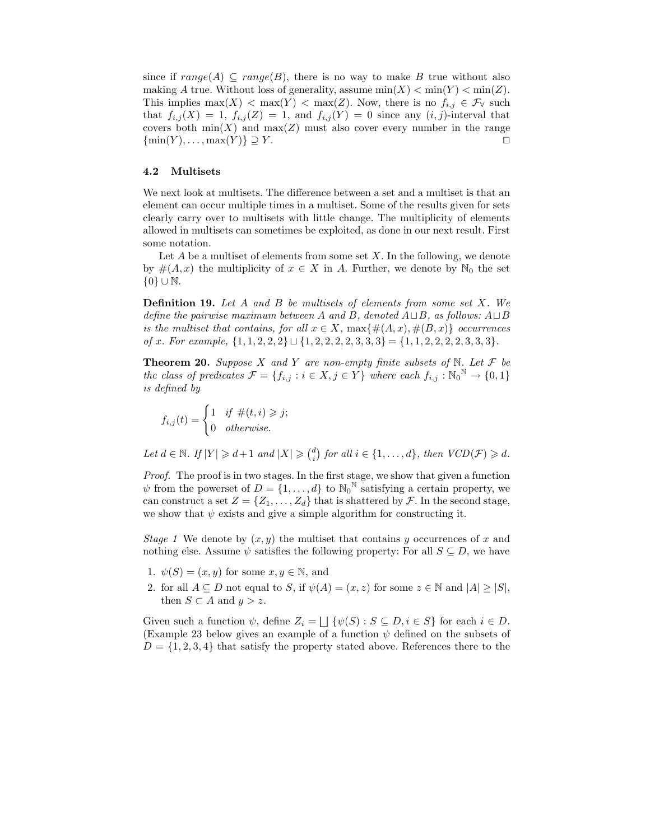since if  $range(A) \subseteq range(B)$ , there is no way to make B true without also making A true. Without loss of generality, assume  $\min(X) < \min(Y) < \min(Z)$ . This implies  $\max(X) < \max(Y) < \max(Z)$ . Now, there is no  $f_{i,j} \in \mathcal{F}_{\forall}$  such that  $f_{i,j}(X) = 1$ ,  $f_{i,j}(Z) = 1$ , and  $f_{i,j}(Y) = 0$  since any  $(i, j)$ -interval that covers both  $min(X)$  and  $max(Z)$  must also cover every number in the range  $\{\min(Y), \ldots, \max(Y)\} \supseteq Y$ .

#### 4.2 Multisets

We next look at multisets. The difference between a set and a multiset is that an element can occur multiple times in a multiset. Some of the results given for sets clearly carry over to multisets with little change. The multiplicity of elements allowed in multisets can sometimes be exploited, as done in our next result. First some notation.

Let  $A$  be a multiset of elements from some set  $X$ . In the following, we denote by  $\#(A, x)$  the multiplicity of  $x \in X$  in A. Further, we denote by  $\mathbb{N}_0$  the set {0} ∪ N.

**Definition 19.** Let  $A$  and  $B$  be multisets of elements from some set  $X$ . We define the pairwise maximum between A and B, denoted  $A \sqcup B$ , as follows:  $A \sqcup B$ is the multiset that contains, for all  $x \in X$ ,  $\max\{\#(A,x),\#(B,x)\}\$  occurrences of x. For example,  $\{1, 1, 2, 2, 2\} \sqcup \{1, 2, 2, 2, 2, 3, 3, 3\} = \{1, 1, 2, 2, 2, 2, 3, 3, 3\}.$ 

**Theorem 20.** Suppose X and Y are non-empty finite subsets of N. Let  $\mathcal F$  be the class of predicates  $\mathcal{F} = \{f_{i,j} : i \in X, j \in Y\}$  where each  $f_{i,j} : \mathbb{N}_0^N \to \{0,1\}$ is defined by

$$
f_{i,j}(t) = \begin{cases} 1 & \text{if } \#(t,i) \geqslant j; \\ 0 & \text{otherwise.} \end{cases}
$$

Let  $d \in \mathbb{N}$ . If  $|Y| \geq d+1$  and  $|X| \geq {d \choose i}$  for all  $i \in \{1, ..., d\}$ , then  $VCD(\mathcal{F}) \geq d$ .

Proof. The proof is in two stages. In the first stage, we show that given a function  $\psi$  from the powerset of  $D = \{1, \ldots, d\}$  to  $\mathbb{N}_0^N$  satisfying a certain property, we can construct a set  $Z = \{Z_1, \ldots, Z_d\}$  that is shattered by  $\mathcal F$ . In the second stage, we show that  $\psi$  exists and give a simple algorithm for constructing it.

Stage 1 We denote by  $(x, y)$  the multiset that contains y occurrences of x and nothing else. Assume  $\psi$  satisfies the following property: For all  $S \subseteq D$ , we have

- 1.  $\psi(S) = (x, y)$  for some  $x, y \in \mathbb{N}$ , and
- 2. for all  $A \subseteq D$  not equal to S, if  $\psi(A) = (x, z)$  for some  $z \in \mathbb{N}$  and  $|A| \geq |S|$ , then  $S \subset A$  and  $y > z$ .

Given such a function  $\psi$ , define  $Z_i = \bigsqcup \{ \psi(S) : S \subseteq D, i \in S \}$  for each  $i \in D$ . (Example 23 below gives an example of a function  $\psi$  defined on the subsets of  $D = \{1, 2, 3, 4\}$  that satisfy the property stated above. References there to the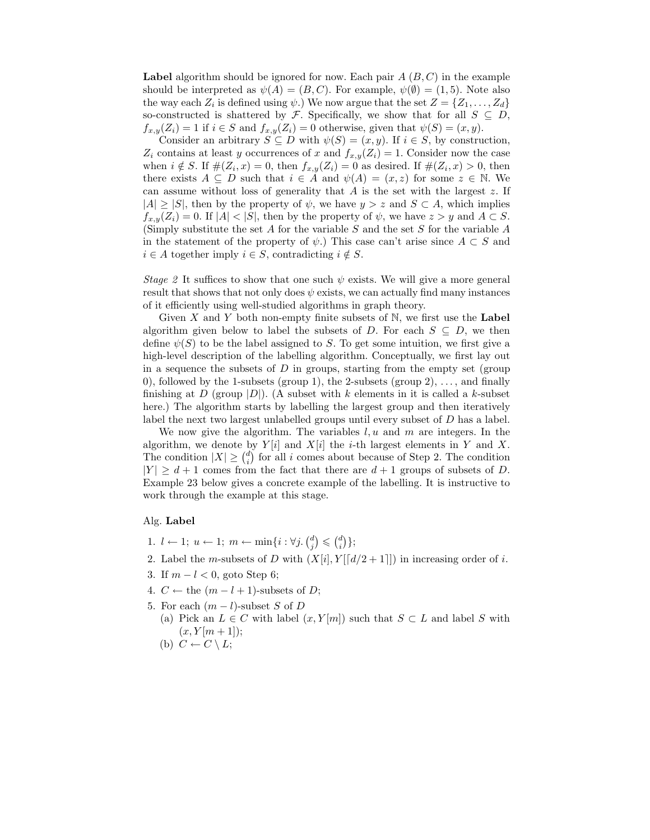**Label** algorithm should be ignored for now. Each pair  $A(B, C)$  in the example should be interpreted as  $\psi(A) = (B, C)$ . For example,  $\psi(\emptyset) = (1, 5)$ . Note also the way each  $Z_i$  is defined using  $\psi$ .) We now argue that the set  $Z = \{Z_1, \ldots, Z_d\}$ so-constructed is shattered by F. Specifically, we show that for all  $S \subseteq D$ ,  $f_{x,y}(Z_i) = 1$  if  $i \in S$  and  $f_{x,y}(Z_i) = 0$  otherwise, given that  $\psi(S) = (x, y)$ .

Consider an arbitrary  $S \subseteq D$  with  $\psi(S) = (x, y)$ . If  $i \in S$ , by construction,  $Z_i$  contains at least y occurrences of x and  $f_{x,y}(Z_i) = 1$ . Consider now the case when  $i \notin S$ . If  $\#(Z_i, x) = 0$ , then  $f_{x,y}(Z_i) = 0$  as desired. If  $\#(Z_i, x) > 0$ , then there exists  $A \subseteq D$  such that  $i \in A$  and  $\psi(A) = (x, z)$  for some  $z \in \mathbb{N}$ . We can assume without loss of generality that  $A$  is the set with the largest  $z$ . If  $|A| \geq |S|$ , then by the property of  $\psi$ , we have  $y > z$  and  $S \subset A$ , which implies  $f_{x,y}(Z_i) = 0$ . If  $|A| < |S|$ , then by the property of  $\psi$ , we have  $z > y$  and  $A \subset S$ . (Simply substitute the set A for the variable S and the set S for the variable A in the statement of the property of  $\psi$ .) This case can't arise since  $A \subset S$  and  $i \in A$  together imply  $i \in S$ , contradicting  $i \notin S$ .

Stage 2 It suffices to show that one such  $\psi$  exists. We will give a more general result that shows that not only does  $\psi$  exists, we can actually find many instances of it efficiently using well-studied algorithms in graph theory.

Given X and Y both non-empty finite subsets of  $\mathbb N$ , we first use the Label algorithm given below to label the subsets of D. For each  $S \subseteq D$ , we then define  $\psi(S)$  to be the label assigned to S. To get some intuition, we first give a high-level description of the labelling algorithm. Conceptually, we first lay out in a sequence the subsets of  $D$  in groups, starting from the empty set (group 0), followed by the 1-subsets (group 1), the 2-subsets (group 2),  $\dots$ , and finally finishing at D (group  $|D|$ ). (A subset with k elements in it is called a k-subset here.) The algorithm starts by labelling the largest group and then iteratively label the next two largest unlabelled groups until every subset of D has a label.

We now give the algorithm. The variables  $l, u$  and  $m$  are integers. In the algorithm, we denote by  $Y[i]$  and  $X[i]$  the *i*-th largest elements in Y and X. The condition  $|X| \geq {d \choose i}$  for all i comes about because of Step 2. The condition  $|Y| \geq d+1$  comes from the fact that there are  $d+1$  groups of subsets of D. Example 23 below gives a concrete example of the labelling. It is instructive to work through the example at this stage.

#### Alg. Label

- 1.  $l \leftarrow 1; u \leftarrow 1; m \leftarrow \min\{i : \forall j. \binom{d}{j} \leqslant \binom{d}{i}\};$
- 2. Label the m-subsets of D with  $(X[i], Y[[d/2+1]])$  in increasing order of i.
- 3. If  $m l < 0$ , goto Step 6;
- 4.  $C \leftarrow$  the  $(m l + 1)$ -subsets of D;
- 5. For each  $(m l)$ -subset S of D
	- (a) Pick an  $L \in C$  with label  $(x, Y[m])$  such that  $S \subset L$  and label S with  $(x, Y[m+1])$ ;
	- (b)  $C \leftarrow C \setminus L$ ;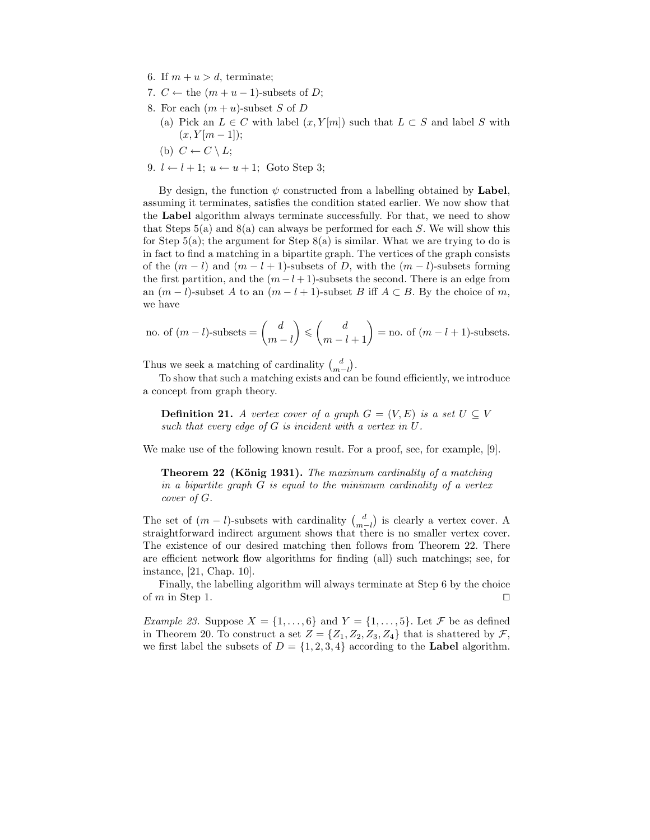- 6. If  $m + u > d$ , terminate;
- 7.  $C \leftarrow$  the  $(m + u 1)$ -subsets of D;
- 8. For each  $(m + u)$ -subset S of D
	- (a) Pick an  $L \in C$  with label  $(x, Y[m])$  such that  $L \subset S$  and label S with  $(x, Y[m-1])$ ;
	- (b)  $C \leftarrow C \setminus L$ ;
- 9.  $l \leftarrow l + 1$ ;  $u \leftarrow u + 1$ ; Goto Step 3;

By design, the function  $\psi$  constructed from a labelling obtained by Label, assuming it terminates, satisfies the condition stated earlier. We now show that the Label algorithm always terminate successfully. For that, we need to show that Steps  $5(a)$  and  $8(a)$  can always be performed for each S. We will show this for Step 5(a); the argument for Step 8(a) is similar. What we are trying to do is in fact to find a matching in a bipartite graph. The vertices of the graph consists of the  $(m - l)$  and  $(m - l + 1)$ -subsets of D, with the  $(m - l)$ -subsets forming the first partition, and the  $(m-l+1)$ -subsets the second. There is an edge from an  $(m - l)$ -subset A to an  $(m - l + 1)$ -subset B iff  $A \subset B$ . By the choice of m, we have

no. of 
$$
(m-l)
$$
-subsets  $=$   $\binom{d}{m-l}$   $\leq$   $\binom{d}{m-l+1}$  = no. of  $(m-l+1)$ -subsets.

Thus we seek a matching of cardinality  $\binom{d}{m-l}$ .

To show that such a matching exists and can be found efficiently, we introduce a concept from graph theory.

**Definition 21.** A vertex cover of a graph  $G = (V, E)$  is a set  $U \subseteq V$ such that every edge of G is incident with a vertex in U.

We make use of the following known result. For a proof, see, for example, [9].

Theorem 22 (König 1931). The maximum cardinality of a matching in a bipartite graph G is equal to the minimum cardinality of a vertex cover of G.

The set of  $(m - l)$ -subsets with cardinality  $\binom{d}{m-l}$  is clearly a vertex cover. A straightforward indirect argument shows that there is no smaller vertex cover. The existence of our desired matching then follows from Theorem 22. There are efficient network flow algorithms for finding (all) such matchings; see, for instance, [21, Chap. 10].

Finally, the labelling algorithm will always terminate at Step 6 by the choice of  $m$  in Step 1.  $\Box$ 

*Example 23.* Suppose  $X = \{1, \ldots, 6\}$  and  $Y = \{1, \ldots, 5\}$ . Let  $\mathcal F$  be as defined in Theorem 20. To construct a set  $Z = \{Z_1, Z_2, Z_3, Z_4\}$  that is shattered by  $\mathcal{F}$ , we first label the subsets of  $D = \{1, 2, 3, 4\}$  according to the Label algorithm.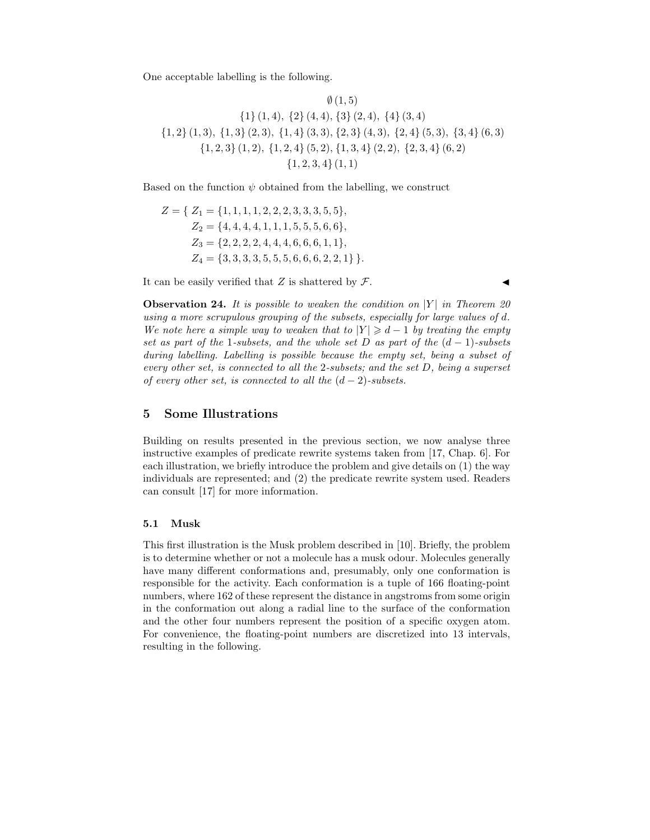One acceptable labelling is the following.

$$
\emptyset (1,5)
$$
\n
$$
\{1\} (1,4), \{2\} (4,4), \{3\} (2,4), \{4\} (3,4)
$$
\n
$$
\{1,2\} (1,3), \{1,3\} (2,3), \{1,4\} (3,3), \{2,3\} (4,3), \{2,4\} (5,3), \{3,4\} (6,3)
$$
\n
$$
\{1,2,3\} (1,2), \{1,2,4\} (5,2), \{1,3,4\} (2,2), \{2,3,4\} (6,2)
$$
\n
$$
\{1,2,3,4\} (1,1)
$$

Based on the function  $\psi$  obtained from the labelling, we construct

$$
Z = \{ Z_1 = \{1, 1, 1, 1, 2, 2, 2, 3, 3, 3, 5, 5\},
$$
  
\n
$$
Z_2 = \{4, 4, 4, 4, 1, 1, 1, 5, 5, 5, 6, 6\},
$$
  
\n
$$
Z_3 = \{2, 2, 2, 4, 4, 4, 6, 6, 6, 1, 1\},
$$
  
\n
$$
Z_4 = \{3, 3, 3, 3, 5, 5, 5, 6, 6, 6, 2, 2, 1\} \}.
$$

It can be easily verified that Z is shattered by  $\mathcal{F}.$ 

**Observation 24.** It is possible to weaken the condition on  $|Y|$  in Theorem 20 using a more scrupulous grouping of the subsets, especially for large values of d. We note here a simple way to weaken that to  $|Y| \geq d-1$  by treating the empty set as part of the 1-subsets, and the whole set D as part of the  $(d-1)$ -subsets during labelling. Labelling is possible because the empty set, being a subset of every other set, is connected to all the 2-subsets; and the set D, being a superset of every other set, is connected to all the  $(d-2)$ -subsets.

## 5 Some Illustrations

Building on results presented in the previous section, we now analyse three instructive examples of predicate rewrite systems taken from [17, Chap. 6]. For each illustration, we briefly introduce the problem and give details on (1) the way individuals are represented; and (2) the predicate rewrite system used. Readers can consult [17] for more information.

#### 5.1 Musk

This first illustration is the Musk problem described in [10]. Briefly, the problem is to determine whether or not a molecule has a musk odour. Molecules generally have many different conformations and, presumably, only one conformation is responsible for the activity. Each conformation is a tuple of 166 floating-point numbers, where 162 of these represent the distance in angstroms from some origin in the conformation out along a radial line to the surface of the conformation and the other four numbers represent the position of a specific oxygen atom. For convenience, the floating-point numbers are discretized into 13 intervals, resulting in the following.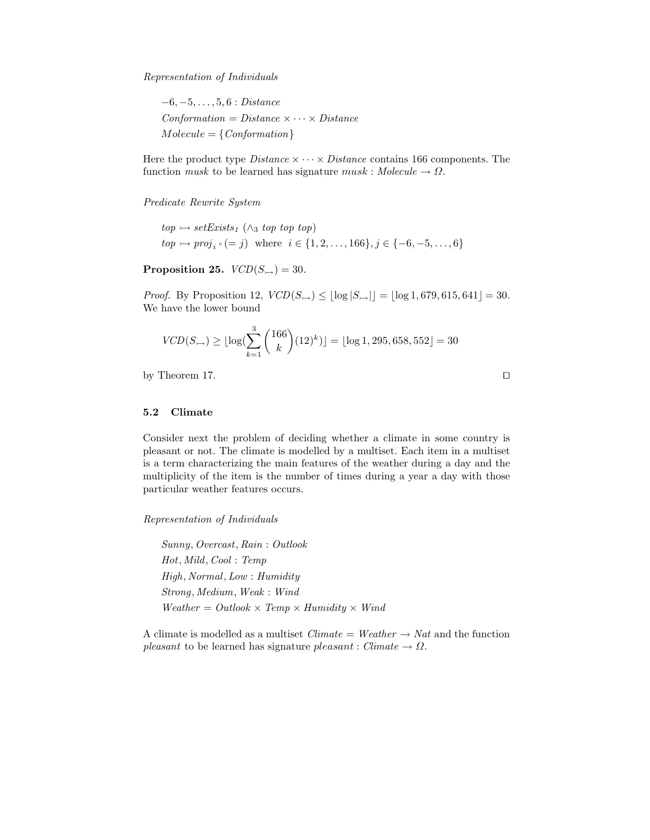Representation of Individuals

 $-6, -5, \ldots, 5, 6 : Distance$  $Conformation = Distance \times \cdots \times Distance$  $Molecule = \{Conformation\}$ 

Here the product type *Distance*  $\times \cdots \times$  *Distance* contains 166 components. The function musk to be learned has signature musk : Molecule  $\rightarrow \Omega$ .

Predicate Rewrite System

 $top \rightarrow setExists_1 (\wedge_3 top top top)$  $top \rightarrow proj_i \circ (= j)$  where  $i \in \{1, 2, ..., 166\}, j \in \{-6, -5, ..., 6\}$ 

Proposition 25.  $VCD(S_{\rightarrow}) = 30$ .

*Proof.* By Proposition 12,  $VCD(S_{\rightarrow}) \leq |\log |S_{\rightarrow}|| = |\log 1, 679, 615, 641| = 30.$ We have the lower bound

$$
VCD(S_{\rightarrow}) \ge \lfloor \log \left( \sum_{k=1}^{3} {166 \choose k} (12)^k \right) \rfloor = \lfloor \log 1, 295, 658, 552 \rfloor = 30
$$

by Theorem 17.  $\Box$ 

#### 5.2 Climate

Consider next the problem of deciding whether a climate in some country is pleasant or not. The climate is modelled by a multiset. Each item in a multiset is a term characterizing the main features of the weather during a day and the multiplicity of the item is the number of times during a year a day with those particular weather features occurs.

Representation of Individuals

Sunny, Overcast, Rain : Outlook Hot, Mild, Cool : Temp High, Normal, Low : Humidity Strong, Medium, Weak : Wind  $Weather = Outlook \times Temp \times Humidity \times Wind$ 

A climate is modelled as a multiset  $Climate = Weather \rightarrow Nat$  and the function pleasant to be learned has signature pleasant : Climate  $\rightarrow \Omega$ .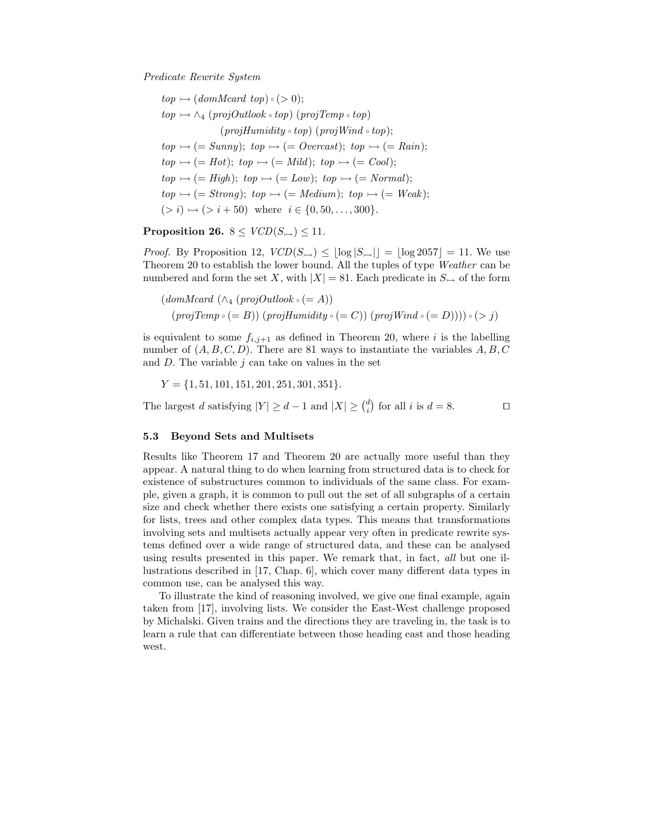Predicate Rewrite System

 $top \rightarrow (domMcard \; top) \circ (> 0);$  $top \rightarrow \wedge_4 (projOutlook \circ top) (projTemp \circ top)$  $(projHumidity \circ top)$   $(projWind \circ top);$  $top \rightarrow (= Summary)$ ;  $top \rightarrow (= Overcast)$ ;  $top \rightarrow (= Rain)$ ;  $top \rightarrow (= Hot); top \rightarrow (= Mill); top \rightarrow (= Cool);$  $top \rightarrow (= High)$ ;  $top \rightarrow (= Low)$ ;  $top \rightarrow (= Normal)$ ;  $top \rightarrow (= Strong); top \rightarrow (= Medium); top \rightarrow (= Weak);$  $(> i) \rightarrow (> i + 50)$  where  $i \in \{0, 50, \ldots, 300\}.$ 

Proposition 26.  $8 \leq VCD(S_{\rightarrow}) \leq 11$ .

*Proof.* By Proposition 12,  $VCD(S_{\rightarrow}) \leq |\log |S_{\rightarrow}|| = |\log 2057| = 11$ . We use Theorem 20 to establish the lower bound. All the tuples of type Weather can be numbered and form the set X, with  $|X| = 81$ . Each predicate in  $S_{\rightarrow}$  of the form

 $(domMcard \ (\wedge_4 (projOutlook \circ (= A)))$  $(projTemp \circ (= B)) (projHumidity \circ (= C)) (projWind \circ (= D)))) \circ ( > j)$ 

is equivalent to some  $f_{i,j+1}$  as defined in Theorem 20, where i is the labelling number of  $(A, B, C, D)$ . There are 81 ways to instantiate the variables  $A, B, C$ and  $D$ . The variable  $j$  can take on values in the set

 $Y = \{1, 51, 101, 151, 201, 251, 301, 351\}.$ 

The largest d satisfying  $|Y| \ge d - 1$  and  $|X| \ge \binom{d}{i}$  for all i is  $d = 8$ .

#### 5.3 Beyond Sets and Multisets

Results like Theorem 17 and Theorem 20 are actually more useful than they appear. A natural thing to do when learning from structured data is to check for existence of substructures common to individuals of the same class. For example, given a graph, it is common to pull out the set of all subgraphs of a certain size and check whether there exists one satisfying a certain property. Similarly for lists, trees and other complex data types. This means that transformations involving sets and multisets actually appear very often in predicate rewrite systems defined over a wide range of structured data, and these can be analysed using results presented in this paper. We remark that, in fact, all but one illustrations described in [17, Chap. 6], which cover many different data types in common use, can be analysed this way.

To illustrate the kind of reasoning involved, we give one final example, again taken from [17], involving lists. We consider the East-West challenge proposed by Michalski. Given trains and the directions they are traveling in, the task is to learn a rule that can differentiate between those heading east and those heading west.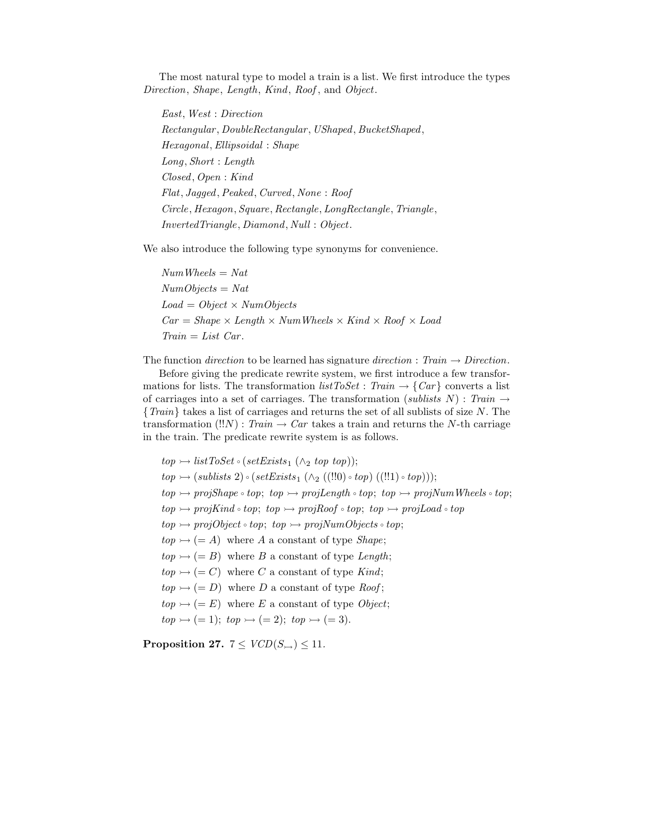The most natural type to model a train is a list. We first introduce the types Direction, Shape, Length, Kind, Roof, and Object.

East, West : Direction Rectangular , DoubleRectangular, UShaped, BucketShaped, Hexagonal,Ellipsoidal : Shape Long, Short : Length Closed, Open : Kind Flat, Jagged,Peaked, Curved, None : Roof Circle, Hexagon, Square, Rectangle, LongRectangle, Triangle, InvertedTriangle, Diamond, Null : Object.

We also introduce the following type synonyms for convenience.

 $NumWheels = Nat$  $NumObjects = Nat$  $Load = Object \times NumObjects$  $Car = Shape \times Length \times NumWheels \times Kind \times Roof \times Load$  $Train = List \; Car.$ 

The function direction to be learned has signature direction : Train  $\rightarrow$  Direction.

Before giving the predicate rewrite system, we first introduce a few transformations for lists. The transformation  $listToSet$ : Train  $\rightarrow \{Car\}$  converts a list of carriages into a set of carriages. The transformation (sublists N) : Train  $\rightarrow$ {Train} takes a list of carriages and returns the set of all sublists of size N. The transformation  $(!!N)$ : Train  $\rightarrow Car$  takes a train and returns the N-th carriage in the train. The predicate rewrite system is as follows.

 $top \rightarrow listToSet \circ (setExists_1 (\wedge_2 top top));$  $top \rightarrow (sublists 2) \circ (setExists_1 (\wedge_2 ((!!0) \circ top) ((!!1) \circ top)))$ ;  $top \rightarrow projShape \circ top; top \rightarrow projLength \circ top; top \rightarrow projNumWheels \circ top;$  $top \rightarrow projKind \cdot top; top \rightarrow projRoot \cdot top; top \rightarrow projLoad \cdot top$  $top \rightarrow projObject \circ top; top \rightarrow projNumObjects \circ top;$  $top \rightarrow (= A)$  where A a constant of type Shape;  $top \rightarrow (= B)$  where B a constant of type Length;  $top \rightarrow (= C)$  where C a constant of type Kind;  $top \rightarrow (= D)$  where D a constant of type Roof;  $top \rightarrow (= E)$  where E a constant of type Object;  $top \rightarrow (= 1); top \rightarrow (= 2); top \rightarrow (= 3).$ 

Proposition 27.  $7 \leq VCD(S_{\rightarrow}) \leq 11$ .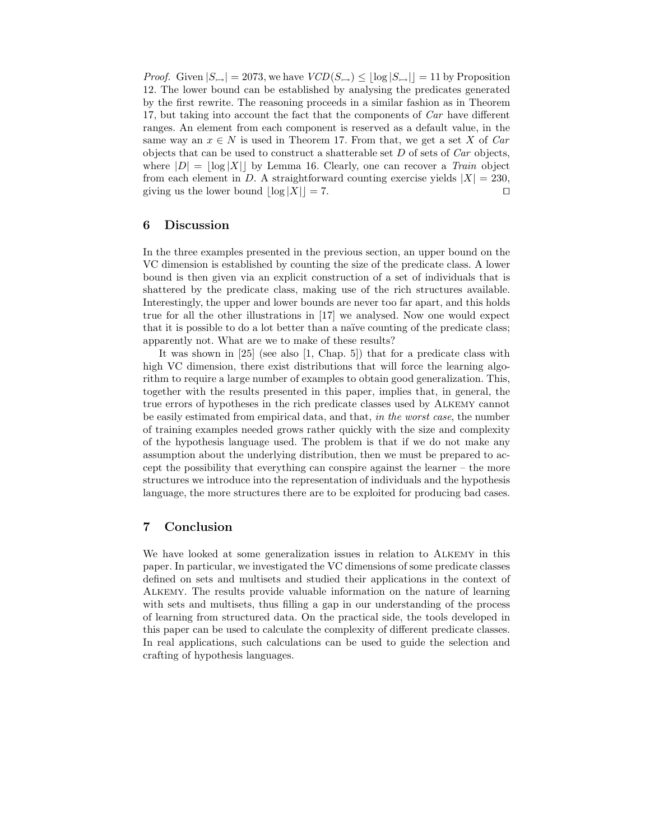*Proof.* Given  $|S_{\rightarrow}| = 2073$ , we have  $VCD(S_{\rightarrow}) \leq |\log |S_{\rightarrow}| | = 11$  by Proposition 12. The lower bound can be established by analysing the predicates generated by the first rewrite. The reasoning proceeds in a similar fashion as in Theorem 17, but taking into account the fact that the components of Car have different ranges. An element from each component is reserved as a default value, in the same way an  $x \in N$  is used in Theorem 17. From that, we get a set X of Car objects that can be used to construct a shatterable set  $D$  of sets of  $Car$  objects, where  $|D| = |\log |X||$  by Lemma 16. Clearly, one can recover a Train object from each element in D. A straightforward counting exercise yields  $|X| = 230$ , giving us the lower bound  $|\log |X|| = 7$ .

## 6 Discussion

In the three examples presented in the previous section, an upper bound on the VC dimension is established by counting the size of the predicate class. A lower bound is then given via an explicit construction of a set of individuals that is shattered by the predicate class, making use of the rich structures available. Interestingly, the upper and lower bounds are never too far apart, and this holds true for all the other illustrations in [17] we analysed. Now one would expect that it is possible to do a lot better than a na¨ıve counting of the predicate class; apparently not. What are we to make of these results?

It was shown in [25] (see also [1, Chap. 5]) that for a predicate class with high VC dimension, there exist distributions that will force the learning algorithm to require a large number of examples to obtain good generalization. This, together with the results presented in this paper, implies that, in general, the true errors of hypotheses in the rich predicate classes used by Alkemy cannot be easily estimated from empirical data, and that, in the worst case, the number of training examples needed grows rather quickly with the size and complexity of the hypothesis language used. The problem is that if we do not make any assumption about the underlying distribution, then we must be prepared to accept the possibility that everything can conspire against the learner – the more structures we introduce into the representation of individuals and the hypothesis language, the more structures there are to be exploited for producing bad cases.

## 7 Conclusion

We have looked at some generalization issues in relation to Alkemy in this paper. In particular, we investigated the VC dimensions of some predicate classes defined on sets and multisets and studied their applications in the context of Alkemy. The results provide valuable information on the nature of learning with sets and multisets, thus filling a gap in our understanding of the process of learning from structured data. On the practical side, the tools developed in this paper can be used to calculate the complexity of different predicate classes. In real applications, such calculations can be used to guide the selection and crafting of hypothesis languages.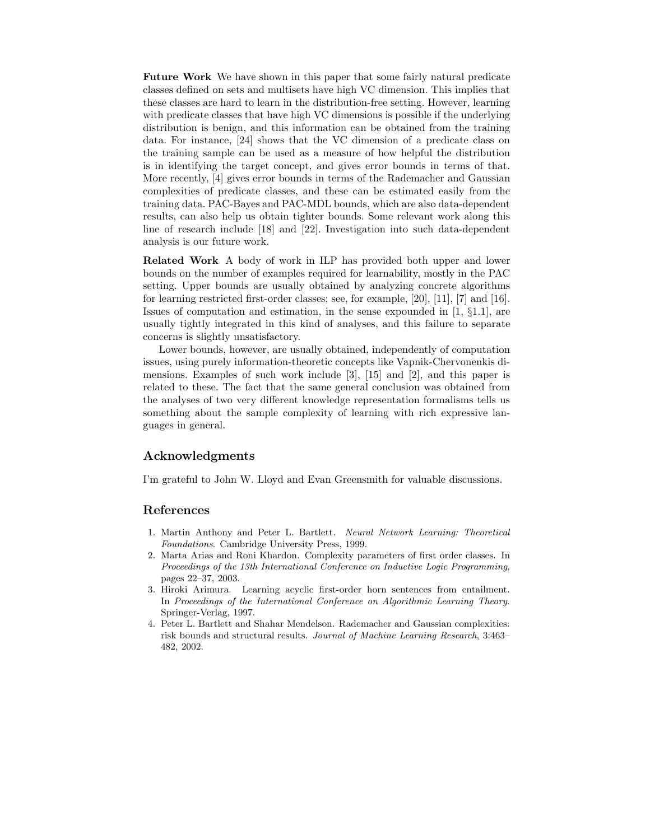Future Work We have shown in this paper that some fairly natural predicate classes defined on sets and multisets have high VC dimension. This implies that these classes are hard to learn in the distribution-free setting. However, learning with predicate classes that have high VC dimensions is possible if the underlying distribution is benign, and this information can be obtained from the training data. For instance, [24] shows that the VC dimension of a predicate class on the training sample can be used as a measure of how helpful the distribution is in identifying the target concept, and gives error bounds in terms of that. More recently, [4] gives error bounds in terms of the Rademacher and Gaussian complexities of predicate classes, and these can be estimated easily from the training data. PAC-Bayes and PAC-MDL bounds, which are also data-dependent results, can also help us obtain tighter bounds. Some relevant work along this line of research include [18] and [22]. Investigation into such data-dependent analysis is our future work.

Related Work A body of work in ILP has provided both upper and lower bounds on the number of examples required for learnability, mostly in the PAC setting. Upper bounds are usually obtained by analyzing concrete algorithms for learning restricted first-order classes; see, for example, [20], [11], [7] and [16]. Issues of computation and estimation, in the sense expounded in  $[1, \S1.1]$ , are usually tightly integrated in this kind of analyses, and this failure to separate concerns is slightly unsatisfactory.

Lower bounds, however, are usually obtained, independently of computation issues, using purely information-theoretic concepts like Vapnik-Chervonenkis dimensions. Examples of such work include  $[3]$ ,  $[15]$  and  $[2]$ , and this paper is related to these. The fact that the same general conclusion was obtained from the analyses of two very different knowledge representation formalisms tells us something about the sample complexity of learning with rich expressive languages in general.

## Acknowledgments

I'm grateful to John W. Lloyd and Evan Greensmith for valuable discussions.

#### References

- 1. Martin Anthony and Peter L. Bartlett. Neural Network Learning: Theoretical Foundations. Cambridge University Press, 1999.
- 2. Marta Arias and Roni Khardon. Complexity parameters of first order classes. In Proceedings of the 13th International Conference on Inductive Logic Programming, pages 22–37, 2003.
- 3. Hiroki Arimura. Learning acyclic first-order horn sentences from entailment. In Proceedings of the International Conference on Algorithmic Learning Theory. Springer-Verlag, 1997.
- 4. Peter L. Bartlett and Shahar Mendelson. Rademacher and Gaussian complexities: risk bounds and structural results. Journal of Machine Learning Research, 3:463– 482, 2002.